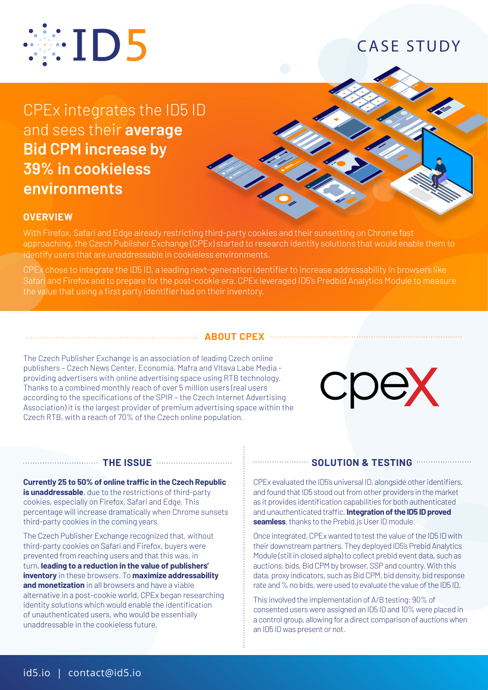

## CASE STUDY

CPEx integrates the ID5 ID and sees their **average Bid CPM increase by 39% in cookieless environments**



### **OVERVIEW**

With Firefox, Safari and Edge already restricting third-party cookies and their sunsetting on Chrome fast approaching, the Czech Publisher Exchange (CPEx) started to research identity solutions that would enable them to identify users that are unaddressable in cookieless environments.

CPEx chose to integrate the ID5 ID, a leading next-generation identifier to increase addressability in browsers like Safari and Firefox and to prepare for the post-cookie era. CPEx leveraged ID5's Predbid Analytics Module to measure the value that using a first party identifier had on their inventory.

### **ABOUT CPEX**

The Czech Publisher Exchange is an association of leading Czech online publishers – Czech News Center, Economia, Mafra and Vltava Labe Media providing advertisers with online advertising space using RTB technology. Thanks to a combined monthly reach of over 5 million users (real users according to the specifications of the SPIR – the Czech Internet Advertising Association) it is the largest provider of premium advertising space within the Czech RTB, with a reach of 70% of the Czech online population.



### **THE ISSUE**

**Currently 25 to 50% of online traffic in the Czech Republic is unaddressable**, due to the restrictions of third-party cookies, especially on Firefox, Safari and Edge. This percentage will increase dramatically when Chrome sunsets third-party cookies in the coming years.

The Czech Publisher Exchange recognized that, without third-party cookies on Safari and Firefox, buyers were prevented from reaching users and that this was, in turn, **leading to a reduction in the value of publishers' inventory** in these browsers. To **maximize addressability and monetization** in all browsers and have a viable alternative in a post-cookie world, CPEx began researching identity solutions which would enable the identification of unauthenticated users, who would be essentially unaddressable in the cookieless future.

#### **SOLUTION & TESTING**

CPEx evaluated the ID5's universal ID, alongside other identifiers, and found that ID5 stood out from other providers in the market as it provides identification capabilities for both authenticated and unauthenticated traffic. **Integration of the ID5 ID proved seamless**, thanks to the Prebid.js User ID module.

Once integrated, CPEx wanted to test the value of the ID5 ID with their downstream partners. They deployed ID5's Prebid Analytics Module (still in closed alpha) to collect prebid event data, such as auctions, bids, Bid CPM by browser, SSP and country. With this data, proxy indicators, such as Bid CPM, bid density, bid response rate and % no bids, were used to evaluate the value of the ID5 ID.

This involved the implementation of A/B testing: 90% of consented users were assigned an ID5 ID and 10% were placed in a control group, allowing for a direct comparison of auctions when an ID5 ID was present or not.